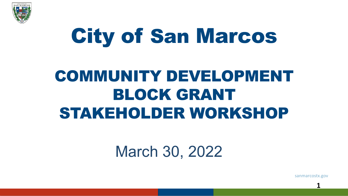

# City of San Marcos

# COMMUNITY DEVELOPMENT BLOCK GRANT STAKEHOLDER WORKSHOP

# March 30, 2022

sanmarcostx.gov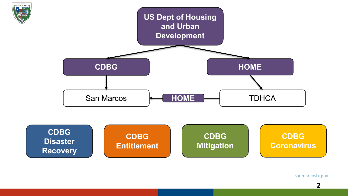

sanmarcostx.gov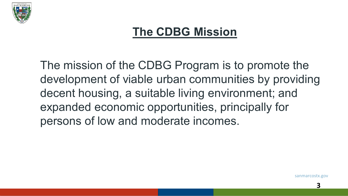

#### **The CDBG Mission**

The mission of the CDBG Program is to promote the development of viable urban communities by providing decent housing, a suitable living environment; and expanded economic opportunities, principally for persons of low and moderate incomes.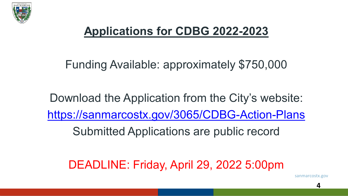

#### **Applications for CDBG 2022-2023**

#### Funding Available: approximately \$750,000

Download the Application from the City's website: <https://sanmarcostx.gov/3065/CDBG-Action-Plans>

Submitted Applications are public record

DEADLINE: Friday, April 29, 2022 5:00pm

sanmarcostx.gov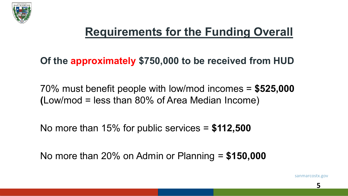

### **Requirements for the Funding Overall**

**Of the approximately \$750,000 to be received from HUD**

70% must benefit people with low/mod incomes = **\$525,000 (**Low/mod = less than 80% of Area Median Income)

No more than 15% for public services = **\$112,500**

No more than 20% on Admin or Planning = **\$150,000**

sanmarcostx.gov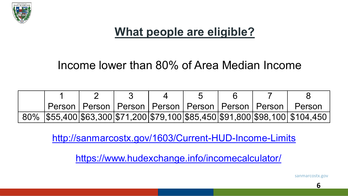

#### **What people are eligible?**

#### Income lower than 80% of Area Median Income

|  |  |  |  | Person   Person   Person   Person   Person   Person   Person   Person          |
|--|--|--|--|--------------------------------------------------------------------------------|
|  |  |  |  | 80%  \$55,400 \$63,300 \$71,200 \$79,100 \$85,450 \$91,800 \$98,100  \$104,450 |

<http://sanmarcostx.gov/1603/Current-HUD-Income-Limits>

<https://www.hudexchange.info/incomecalculator/>

sanmarcostx.gov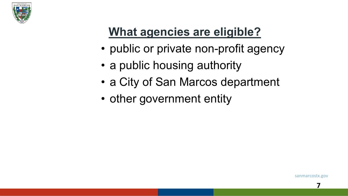

# **What agencies are eligible?**

- public or private non-profit agency
- a public housing authority
- a City of San Marcos department
- other government entity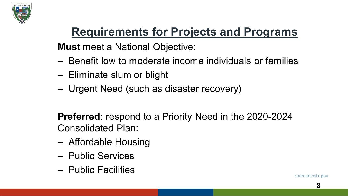

# **Requirements for Projects and Programs**

**Must** meet a National Objective:

- Benefit low to moderate income individuals or families
- Eliminate slum or blight
- Urgent Need (such as disaster recovery)

**Preferred**: respond to a Priority Need in the 2020-2024 Consolidated Plan:

- Affordable Housing
- Public Services
- Public Facilities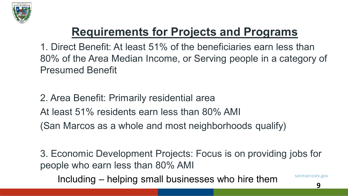

# **Requirements for Projects and Programs**

1. Direct Benefit: At least 51% of the beneficiaries earn less than 80% of the Area Median Income, or Serving people in a category of Presumed Benefit

2. Area Benefit: Primarily residential area At least 51% residents earn less than 80% AMI (San Marcos as a whole and most neighborhoods qualify)

3. Economic Development Projects: Focus is on providing jobs for people who earn less than 80% AMI

Including – helping small businesses who hire them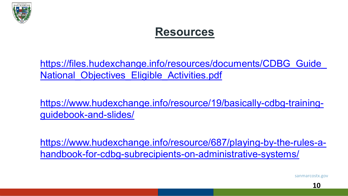

#### **Resources**

https://files.hudexchange.info/resources/documents/CDBG\_Guide National\_Objectives\_Eligible\_Activities.pdf

[https://www.hudexchange.info/resource/19/basically-cdbg-training](https://www.hudexchange.info/resource/19/basically-cdbg-training-guidebook-and-slides/)guidebook-and-slides/

[https://www.hudexchange.info/resource/687/playing-by-the-rules-a](https://www.hudexchange.info/resource/687/playing-by-the-rules-a-handbook-for-cdbg-subrecipients-on-administrative-systems/)handbook-for-cdbg-subrecipients-on-administrative-systems/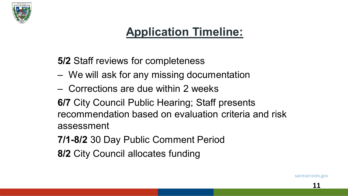

#### **Application Timeline:**

**5/2** Staff reviews for completeness

- We will ask for any missing documentation
- Corrections are due within 2 weeks

**6/7** City Council Public Hearing; Staff presents recommendation based on evaluation criteria and risk assessment

- **7/1-8/2** 30 Day Public Comment Period
- **8/2** City Council allocates funding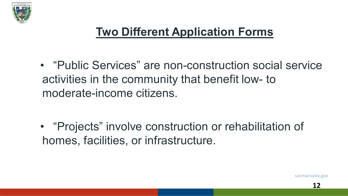

#### **Two Different Application Forms**

• "Public Services" are non-construction social service activities in the community that benefit low- to moderate-income citizens.

• "Projects" involve construction or rehabilitation of homes, facilities, or infrastructure.

sanmarcostx.gov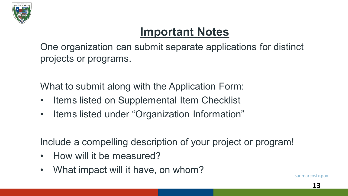

#### **Important Notes**

One organization can submit separate applications for distinct projects or programs.

What to submit along with the Application Form:

- Items listed on Supplemental Item Checklist
- Items listed under "Organization Information"

Include a compelling description of your project or program!

- How will it be measured?
- What impact will it have, on whom?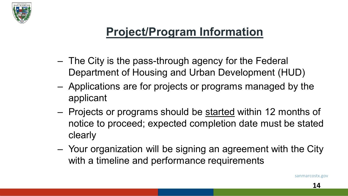

#### **Project/Program Information**

- The City is the pass-through agency for the Federal Department of Housing and Urban Development (HUD)
- Applications are for projects or programs managed by the applicant
- Projects or programs should be started within 12 months of notice to proceed; expected completion date must be stated clearly
- Your organization will be signing an agreement with the City with a timeline and performance requirements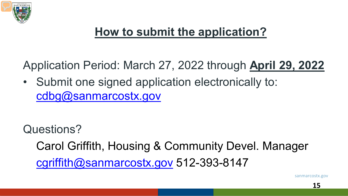

# **How to submit the application?**

Application Period: March 27, 2022 through **April 29, 2022**

• Submit one signed application electronically to: cdbg@sanmarcostx.gov

Questions?

Carol Griffith, Housing & Community Devel. Manager [cgriffith@sanmarcostx.gov](mailto:cgriffith@sanmarcostx.gov) 512-393-8147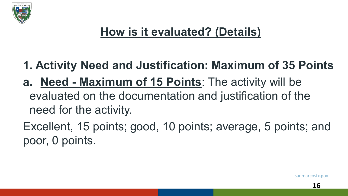

- **1. Activity Need and Justification: Maximum of 35 Points**
- **a. Need - Maximum of 15 Points**: The activity will be evaluated on the documentation and justification of the need for the activity.

Excellent, 15 points; good, 10 points; average, 5 points; and poor, 0 points.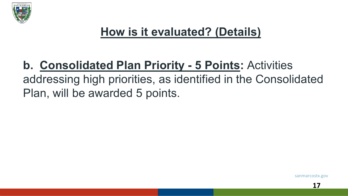

#### **b. Consolidated Plan Priority - 5 Points:** Activities addressing high priorities, as identified in the Consolidated Plan, will be awarded 5 points.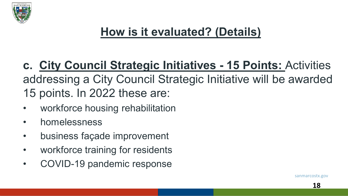

**c. City Council Strategic Initiatives - 15 Points:** Activities addressing a City Council Strategic Initiative will be awarded 15 points. In 2022 these are:

- workforce housing rehabilitation
- homelessness
- business façade improvement
- workforce training for residents
- COVID-19 pandemic response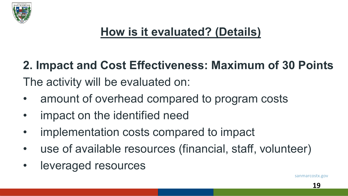

**2. Impact and Cost Effectiveness: Maximum of 30 Points** The activity will be evaluated on:

- amount of overhead compared to program costs
- impact on the identified need
- implementation costs compared to impact
- use of available resources (financial, staff, volunteer)
- leveraged resources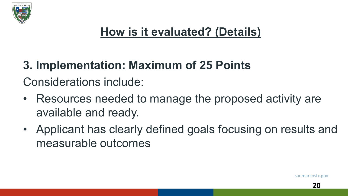

# **3. Implementation: Maximum of 25 Points** Considerations include:

- Resources needed to manage the proposed activity are available and ready.
- Applicant has clearly defined goals focusing on results and measurable outcomes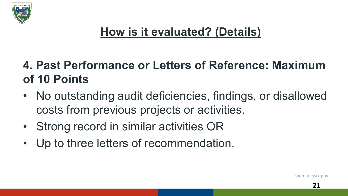

#### **4. Past Performance or Letters of Reference: Maximum of 10 Points**

- No outstanding audit deficiencies, findings, or disallowed costs from previous projects or activities.
- Strong record in similar activities OR
- Up to three letters of recommendation.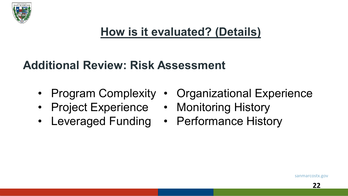

#### **Additional Review: Risk Assessment**

- 
- Project Experience Monitoring History
- Leveraged Funding Performance History
- Program Complexity Organizational Experience
	-
	-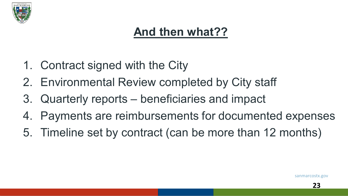

#### **And then what??**

- 1. Contract signed with the City
- 2. Environmental Review completed by City staff
- 3. Quarterly reports beneficiaries and impact
- 4. Payments are reimbursements for documented expenses
- 5. Timeline set by contract (can be more than 12 months)